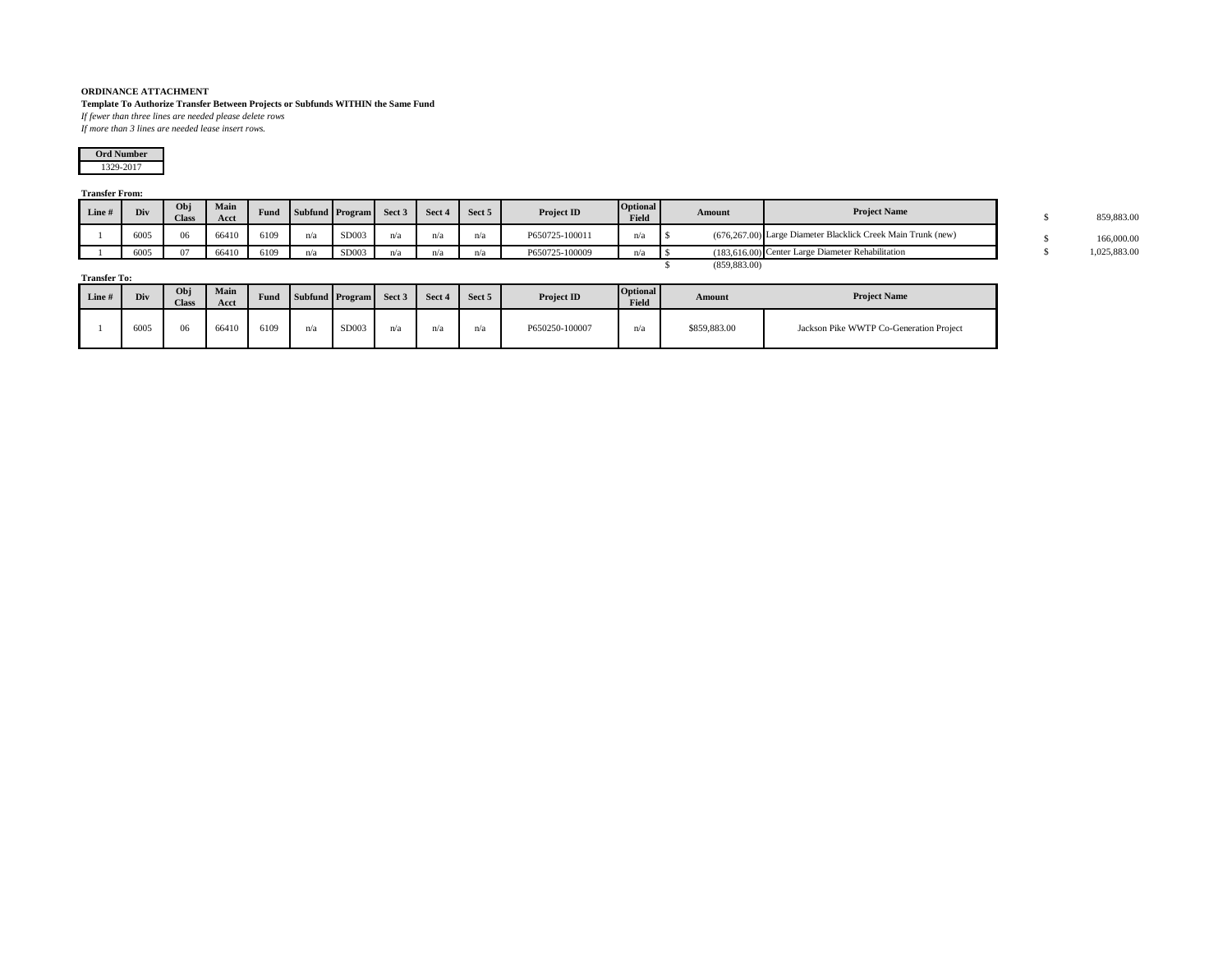## **ORDINANCE ATTACHMENT**

**Template To Authorize Transfer Between Projects or Subfunds WITHIN the Same Fund**

*If fewer than three lines are needed please delete rows If more than 3 lines are needed lease insert rows.*

1329-2017 **Ord Number**

## **Transfer From:**

| Line# | Div  | Obj<br><b>Class</b> | Main<br>Acct | Fund |     | Subfund Program Sect 3 |     | $\blacksquare$ Sect 4 | Sect 5 | Project ID     | <b>Optional</b><br>Field | Amount        | <b>Project Name</b>                                          | 859,883.00 |
|-------|------|---------------------|--------------|------|-----|------------------------|-----|-----------------------|--------|----------------|--------------------------|---------------|--------------------------------------------------------------|------------|
|       | 6005 | 06                  | 66410        | 6109 | n/a | SD003                  | n/a | n/a                   | n/a    | P650725-100011 | n(i)                     |               | (676.267.00) Large Diameter Blacklick Creek Main Trunk (new) | 166,000.00 |
|       | 6005 | 07                  | 66410        | 6109 | n/a | SD003                  | n/a | n/a                   | n/a    | P650725-100009 | n/a                      |               | (183.616.00) Center Large Diameter Rehabilitation            | 025.883.00 |
|       |      |                     |              |      |     |                        |     |                       |        |                |                          | (859, 883.00) |                                                              |            |

**Transfer To:**

| Line # | Div  | Obj<br><b>Class</b> | Main<br>Acct | Fund |     | Subfund Program | Sect 3    | Sect 4 | Sect 5 | Project ID     | <b>Optional</b><br>Field | Amount       | <b>Project Name</b>                     |  |  |
|--------|------|---------------------|--------------|------|-----|-----------------|-----------|--------|--------|----------------|--------------------------|--------------|-----------------------------------------|--|--|
|        | 6005 | 06                  | 66410        | 6109 | n/a | SD003           | $n\omega$ | n/a    | 11/ c  | P650250-100007 | n/a                      | \$859,883.00 | Jackson Pike WWTP Co-Generation Project |  |  |